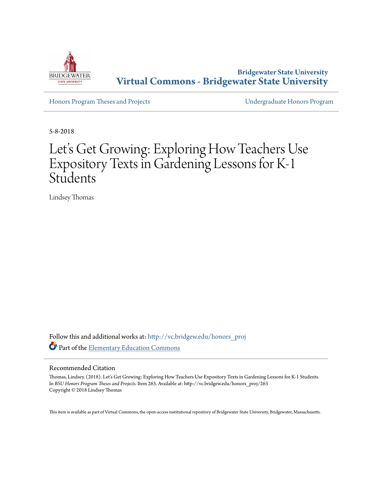

**Bridgewater State University [Virtual Commons - Bridgewater State University](http://vc.bridgew.edu?utm_source=vc.bridgew.edu%2Fhonors_proj%2F263&utm_medium=PDF&utm_campaign=PDFCoverPages)**

[Honors Program Theses and Projects](http://vc.bridgew.edu/honors_proj?utm_source=vc.bridgew.edu%2Fhonors_proj%2F263&utm_medium=PDF&utm_campaign=PDFCoverPages) [Undergraduate Honors Program](http://vc.bridgew.edu/honors?utm_source=vc.bridgew.edu%2Fhonors_proj%2F263&utm_medium=PDF&utm_campaign=PDFCoverPages)

5-8-2018

# Let's Get Growing: Exploring How Teachers Use Expository Texts in Gardening Lessons for K-1 **Students**

Lindsey Thomas

Follow this and additional works at: [http://vc.bridgew.edu/honors\\_proj](http://vc.bridgew.edu/honors_proj?utm_source=vc.bridgew.edu%2Fhonors_proj%2F263&utm_medium=PDF&utm_campaign=PDFCoverPages) Part of the [Elementary Education Commons](http://network.bepress.com/hgg/discipline/1378?utm_source=vc.bridgew.edu%2Fhonors_proj%2F263&utm_medium=PDF&utm_campaign=PDFCoverPages)

#### Recommended Citation

Thomas, Lindsey. (2018). Let's Get Growing: Exploring How Teachers Use Expository Texts in Gardening Lessons for K-1 Students. In *BSU Honors Program Theses and Projects.* Item 263. Available at: http://vc.bridgew.edu/honors\_proj/263 Copyright © 2018 Lindsey Thomas

This item is available as part of Virtual Commons, the open-access institutional repository of Bridgewater State University, Bridgewater, Massachusetts.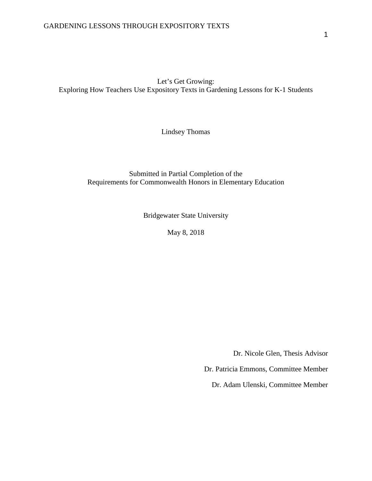Let's Get Growing: Exploring How Teachers Use Expository Texts in Gardening Lessons for K-1 Students

Lindsey Thomas

#### Submitted in Partial Completion of the Requirements for Commonwealth Honors in Elementary Education

Bridgewater State University

May 8, 2018

Dr. Nicole Glen, Thesis Advisor

Dr. Patricia Emmons, Committee Member

Dr. Adam Ulenski, Committee Member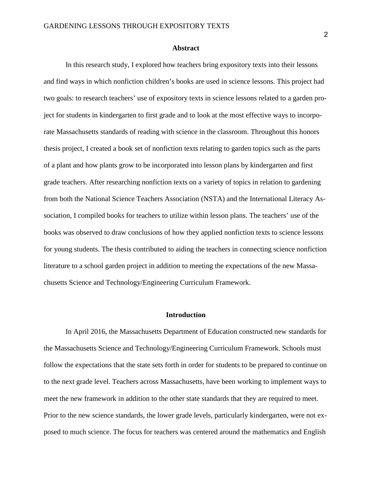#### **Abstract**

In this research study, I explored how teachers bring expository texts into their lessons and find ways in which nonfiction children's books are used in science lessons. This project had two goals: to research teachers' use of expository texts in science lessons related to a garden project for students in kindergarten to first grade and to look at the most effective ways to incorporate Massachusetts standards of reading with science in the classroom. Throughout this honors thesis project, I created a book set of nonfiction texts relating to garden topics such as the parts of a plant and how plants grow to be incorporated into lesson plans by kindergarten and first grade teachers. After researching nonfiction texts on a variety of topics in relation to gardening from both the National Science Teachers Association (NSTA) and the International Literacy Association, I compiled books for teachers to utilize within lesson plans. The teachers' use of the books was observed to draw conclusions of how they applied nonfiction texts to science lessons for young students. The thesis contributed to aiding the teachers in connecting science nonfiction literature to a school garden project in addition to meeting the expectations of the new Massachusetts Science and Technology/Engineering Curriculum Framework.

#### **Introduction**

In April 2016, the Massachusetts Department of Education constructed new standards for the Massachusetts Science and Technology/Engineering Curriculum Framework. Schools must follow the expectations that the state sets forth in order for students to be prepared to continue on to the next grade level. Teachers across Massachusetts, have been working to implement ways to meet the new framework in addition to the other state standards that they are required to meet. Prior to the new science standards, the lower grade levels, particularly kindergarten, were not exposed to much science. The focus for teachers was centered around the mathematics and English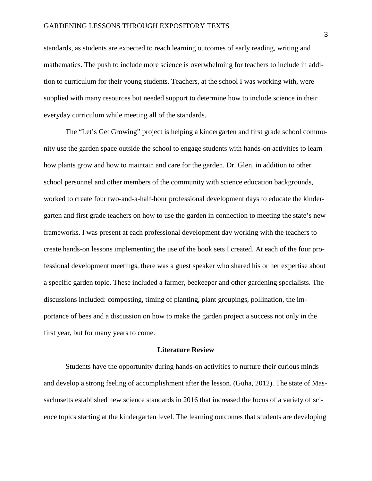standards, as students are expected to reach learning outcomes of early reading, writing and mathematics. The push to include more science is overwhelming for teachers to include in addition to curriculum for their young students. Teachers, at the school I was working with, were supplied with many resources but needed support to determine how to include science in their everyday curriculum while meeting all of the standards.

The "Let's Get Growing" project is helping a kindergarten and first grade school community use the garden space outside the school to engage students with hands-on activities to learn how plants grow and how to maintain and care for the garden. Dr. Glen, in addition to other school personnel and other members of the community with science education backgrounds, worked to create four two-and-a-half-hour professional development days to educate the kindergarten and first grade teachers on how to use the garden in connection to meeting the state's new frameworks. I was present at each professional development day working with the teachers to create hands-on lessons implementing the use of the book sets I created. At each of the four professional development meetings, there was a guest speaker who shared his or her expertise about a specific garden topic. These included a farmer, beekeeper and other gardening specialists. The discussions included: composting, timing of planting, plant groupings, pollination, the importance of bees and a discussion on how to make the garden project a success not only in the first year, but for many years to come.

#### **Literature Review**

Students have the opportunity during hands-on activities to nurture their curious minds and develop a strong feeling of accomplishment after the lesson. (Guha, 2012). The state of Massachusetts established new science standards in 2016 that increased the focus of a variety of science topics starting at the kindergarten level. The learning outcomes that students are developing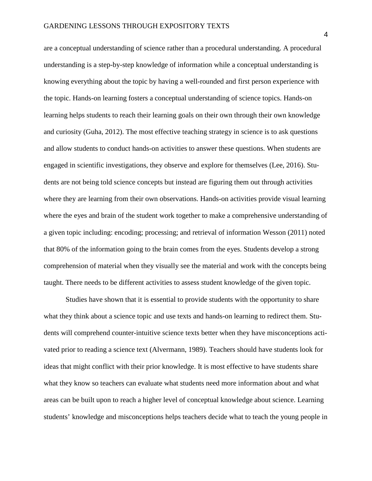are a conceptual understanding of science rather than a procedural understanding. A procedural understanding is a step-by-step knowledge of information while a conceptual understanding is knowing everything about the topic by having a well-rounded and first person experience with the topic. Hands-on learning fosters a conceptual understanding of science topics. Hands-on learning helps students to reach their learning goals on their own through their own knowledge and curiosity (Guha, 2012). The most effective teaching strategy in science is to ask questions and allow students to conduct hands-on activities to answer these questions. When students are engaged in scientific investigations, they observe and explore for themselves (Lee, 2016). Students are not being told science concepts but instead are figuring them out through activities where they are learning from their own observations. Hands-on activities provide visual learning where the eyes and brain of the student work together to make a comprehensive understanding of a given topic including: encoding; processing; and retrieval of information Wesson (2011) noted that 80% of the information going to the brain comes from the eyes. Students develop a strong comprehension of material when they visually see the material and work with the concepts being taught. There needs to be different activities to assess student knowledge of the given topic.

Studies have shown that it is essential to provide students with the opportunity to share what they think about a science topic and use texts and hands-on learning to redirect them. Students will comprehend counter-intuitive science texts better when they have misconceptions activated prior to reading a science text (Alvermann, 1989). Teachers should have students look for ideas that might conflict with their prior knowledge. It is most effective to have students share what they know so teachers can evaluate what students need more information about and what areas can be built upon to reach a higher level of conceptual knowledge about science. Learning students' knowledge and misconceptions helps teachers decide what to teach the young people in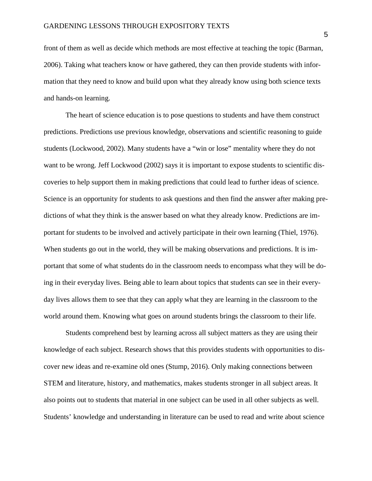front of them as well as decide which methods are most effective at teaching the topic (Barman, 2006). Taking what teachers know or have gathered, they can then provide students with information that they need to know and build upon what they already know using both science texts and hands-on learning.

The heart of science education is to pose questions to students and have them construct predictions. Predictions use previous knowledge, observations and scientific reasoning to guide students (Lockwood, 2002). Many students have a "win or lose" mentality where they do not want to be wrong. Jeff Lockwood (2002) says it is important to expose students to scientific discoveries to help support them in making predictions that could lead to further ideas of science. Science is an opportunity for students to ask questions and then find the answer after making predictions of what they think is the answer based on what they already know. Predictions are important for students to be involved and actively participate in their own learning (Thiel, 1976). When students go out in the world, they will be making observations and predictions. It is important that some of what students do in the classroom needs to encompass what they will be doing in their everyday lives. Being able to learn about topics that students can see in their everyday lives allows them to see that they can apply what they are learning in the classroom to the world around them. Knowing what goes on around students brings the classroom to their life.

Students comprehend best by learning across all subject matters as they are using their knowledge of each subject. Research shows that this provides students with opportunities to discover new ideas and re-examine old ones (Stump, 2016). Only making connections between STEM and literature, history, and mathematics, makes students stronger in all subject areas. It also points out to students that material in one subject can be used in all other subjects as well. Students' knowledge and understanding in literature can be used to read and write about science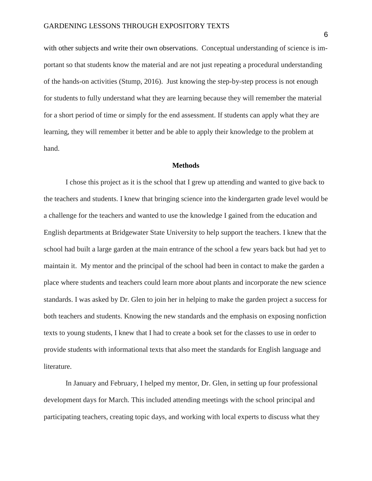with other subjects and write their own observations. Conceptual understanding of science is important so that students know the material and are not just repeating a procedural understanding of the hands-on activities (Stump, 2016). Just knowing the step-by-step process is not enough for students to fully understand what they are learning because they will remember the material for a short period of time or simply for the end assessment. If students can apply what they are learning, they will remember it better and be able to apply their knowledge to the problem at hand.

#### **Methods**

I chose this project as it is the school that I grew up attending and wanted to give back to the teachers and students. I knew that bringing science into the kindergarten grade level would be a challenge for the teachers and wanted to use the knowledge I gained from the education and English departments at Bridgewater State University to help support the teachers. I knew that the school had built a large garden at the main entrance of the school a few years back but had yet to maintain it. My mentor and the principal of the school had been in contact to make the garden a place where students and teachers could learn more about plants and incorporate the new science standards. I was asked by Dr. Glen to join her in helping to make the garden project a success for both teachers and students. Knowing the new standards and the emphasis on exposing nonfiction texts to young students, I knew that I had to create a book set for the classes to use in order to provide students with informational texts that also meet the standards for English language and literature.

In January and February, I helped my mentor, Dr. Glen, in setting up four professional development days for March. This included attending meetings with the school principal and participating teachers, creating topic days, and working with local experts to discuss what they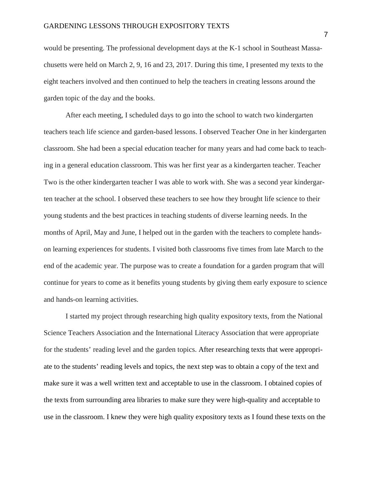would be presenting. The professional development days at the K-1 school in Southeast Massachusetts were held on March 2, 9, 16 and 23, 2017. During this time, I presented my texts to the eight teachers involved and then continued to help the teachers in creating lessons around the garden topic of the day and the books.

After each meeting, I scheduled days to go into the school to watch two kindergarten teachers teach life science and garden-based lessons. I observed Teacher One in her kindergarten classroom. She had been a special education teacher for many years and had come back to teaching in a general education classroom. This was her first year as a kindergarten teacher. Teacher Two is the other kindergarten teacher I was able to work with. She was a second year kindergarten teacher at the school. I observed these teachers to see how they brought life science to their young students and the best practices in teaching students of diverse learning needs. In the months of April, May and June, I helped out in the garden with the teachers to complete handson learning experiences for students. I visited both classrooms five times from late March to the end of the academic year. The purpose was to create a foundation for a garden program that will continue for years to come as it benefits young students by giving them early exposure to science and hands-on learning activities.

I started my project through researching high quality expository texts, from the National Science Teachers Association and the International Literacy Association that were appropriate for the students' reading level and the garden topics. After researching texts that were appropriate to the students' reading levels and topics, the next step was to obtain a copy of the text and make sure it was a well written text and acceptable to use in the classroom. I obtained copies of the texts from surrounding area libraries to make sure they were high-quality and acceptable to use in the classroom. I knew they were high quality expository texts as I found these texts on the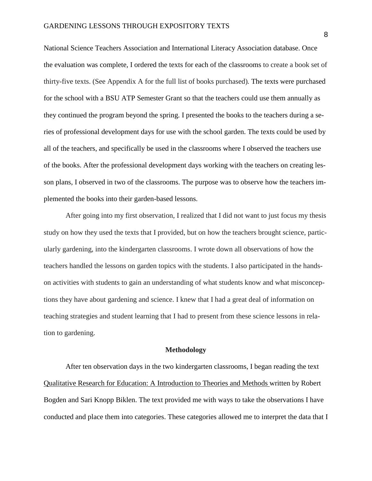National Science Teachers Association and International Literacy Association database. Once the evaluation was complete, I ordered the texts for each of the classrooms to create a book set of thirty-five texts. (See Appendix A for the full list of books purchased)*.* The texts were purchased for the school with a BSU ATP Semester Grant so that the teachers could use them annually as they continued the program beyond the spring. I presented the books to the teachers during a series of professional development days for use with the school garden. The texts could be used by all of the teachers, and specifically be used in the classrooms where I observed the teachers use of the books. After the professional development days working with the teachers on creating lesson plans, I observed in two of the classrooms. The purpose was to observe how the teachers implemented the books into their garden-based lessons.

After going into my first observation, I realized that I did not want to just focus my thesis study on how they used the texts that I provided, but on how the teachers brought science, particularly gardening, into the kindergarten classrooms. I wrote down all observations of how the teachers handled the lessons on garden topics with the students. I also participated in the handson activities with students to gain an understanding of what students know and what misconceptions they have about gardening and science. I knew that I had a great deal of information on teaching strategies and student learning that I had to present from these science lessons in relation to gardening.

#### **Methodology**

After ten observation days in the two kindergarten classrooms, I began reading the text Qualitative Research for Education: A Introduction to Theories and Methods written by Robert Bogden and Sari Knopp Biklen. The text provided me with ways to take the observations I have conducted and place them into categories. These categories allowed me to interpret the data that I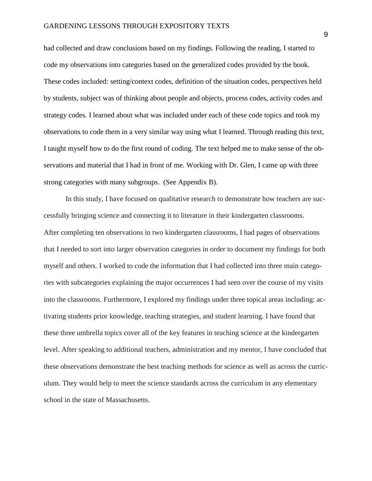had collected and draw conclusions based on my findings. Following the reading, I started to code my observations into categories based on the generalized codes provided by the book. These codes included: setting/context codes, definition of the situation codes, perspectives held by students, subject was of thinking about people and objects, process codes, activity codes and strategy codes. I learned about what was included under each of these code topics and took my observations to code them in a very similar way using what I learned. Through reading this text, I taught myself how to do the first round of coding. The text helped me to make sense of the observations and material that I had in front of me. Working with Dr. Glen, I came up with three strong categories with many subgroups. (See Appendix B).

In this study, I have focused on qualitative research to demonstrate how teachers are successfully bringing science and connecting it to literature in their kindergarten classrooms. After completing ten observations in two kindergarten classrooms, I had pages of observations that I needed to sort into larger observation categories in order to document my findings for both myself and others. I worked to code the information that I had collected into three main categories with subcategories explaining the major occurrences I had seen over the course of my visits into the classrooms. Furthermore, I explored my findings under three topical areas including: activating students prior knowledge, teaching strategies, and student learning. I have found that these three umbrella topics cover all of the key features in teaching science at the kindergarten level. After speaking to additional teachers, administration and my mentor, I have concluded that these observations demonstrate the best teaching methods for science as well as across the curriculum. They would help to meet the science standards across the curriculum in any elementary school in the state of Massachusetts.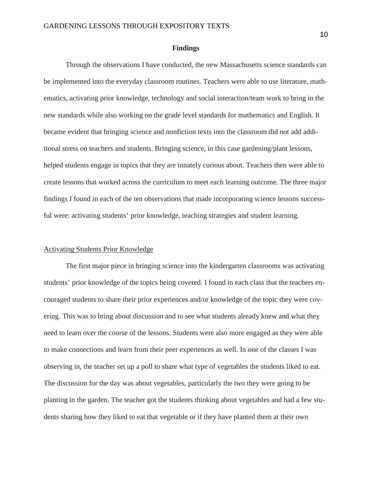#### **Findings**

Through the observations I have conducted, the new Massachusetts science standards can be implemented into the everyday classroom routines. Teachers were able to use literature, mathematics, activating prior knowledge, technology and social interaction/team work to bring in the new standards while also working on the grade level standards for mathematics and English. It became evident that bringing science and nonfiction texts into the classroom did not add additional stress on teachers and students. Bringing science, in this case gardening/plant lessons, helped students engage in topics that they are innately curious about. Teachers then were able to create lessons that worked across the curriculum to meet each learning outcome. The three major findings I found in each of the ten observations that made incorporating science lessons successful were: activating students' prior knowledge, teaching strategies and student learning.

#### Activating Students Prior Knowledge

The first major piece in bringing science into the kindergarten classrooms was activating students' prior knowledge of the topics being covered. I found in each class that the teachers encouraged students to share their prior experiences and/or knowledge of the topic they were covering. This was to bring about discussion and to see what students already knew and what they need to learn over the course of the lessons. Students were also more engaged as they were able to make connections and learn from their peer experiences as well. In one of the classes I was observing in, the teacher set up a poll to share what type of vegetables the students liked to eat. The discussion for the day was about vegetables, particularly the two they were going to be planting in the garden. The teacher got the students thinking about vegetables and had a few students sharing how they liked to eat that vegetable or if they have planted them at their own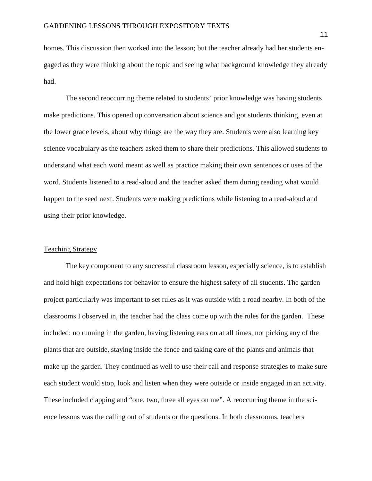homes. This discussion then worked into the lesson; but the teacher already had her students engaged as they were thinking about the topic and seeing what background knowledge they already had.

The second reoccurring theme related to students' prior knowledge was having students make predictions. This opened up conversation about science and got students thinking, even at the lower grade levels, about why things are the way they are. Students were also learning key science vocabulary as the teachers asked them to share their predictions. This allowed students to understand what each word meant as well as practice making their own sentences or uses of the word. Students listened to a read-aloud and the teacher asked them during reading what would happen to the seed next. Students were making predictions while listening to a read-aloud and using their prior knowledge.

#### Teaching Strategy

The key component to any successful classroom lesson, especially science, is to establish and hold high expectations for behavior to ensure the highest safety of all students. The garden project particularly was important to set rules as it was outside with a road nearby. In both of the classrooms I observed in, the teacher had the class come up with the rules for the garden. These included: no running in the garden, having listening ears on at all times, not picking any of the plants that are outside, staying inside the fence and taking care of the plants and animals that make up the garden. They continued as well to use their call and response strategies to make sure each student would stop, look and listen when they were outside or inside engaged in an activity. These included clapping and "one, two, three all eyes on me". A reoccurring theme in the science lessons was the calling out of students or the questions. In both classrooms, teachers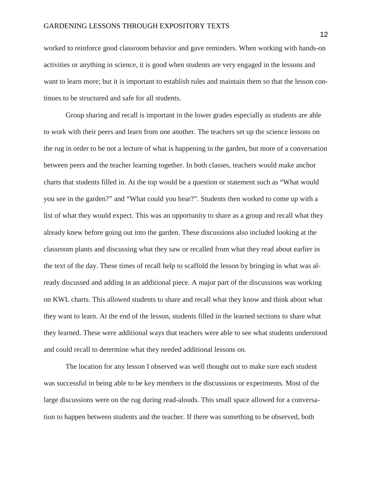worked to reinforce good classroom behavior and gave reminders. When working with hands-on activities or anything in science, it is good when students are very engaged in the lessons and want to learn more; but it is important to establish rules and maintain them so that the lesson continues to be structured and safe for all students.

Group sharing and recall is important in the lower grades especially as students are able to work with their peers and learn from one another. The teachers set up the science lessons on the rug in order to be not a lecture of what is happening in the garden, but more of a conversation between peers and the teacher learning together. In both classes, teachers would make anchor charts that students filled in. At the top would be a question or statement such as "What would you see in the garden?" and "What could you hear?". Students then worked to come up with a list of what they would expect. This was an opportunity to share as a group and recall what they already knew before going out into the garden. These discussions also included looking at the classroom plants and discussing what they saw or recalled from what they read about earlier in the text of the day. These times of recall help to scaffold the lesson by bringing in what was already discussed and adding in an additional piece. A major part of the discussions was working on KWL charts. This allowed students to share and recall what they know and think about what they want to learn. At the end of the lesson, students filled in the learned sections to share what they learned. These were additional ways that teachers were able to see what students understood and could recall to determine what they needed additional lessons on.

The location for any lesson I observed was well thought out to make sure each student was successful in being able to be key members in the discussions or experiments. Most of the large discussions were on the rug during read-alouds. This small space allowed for a conversation to happen between students and the teacher. If there was something to be observed, both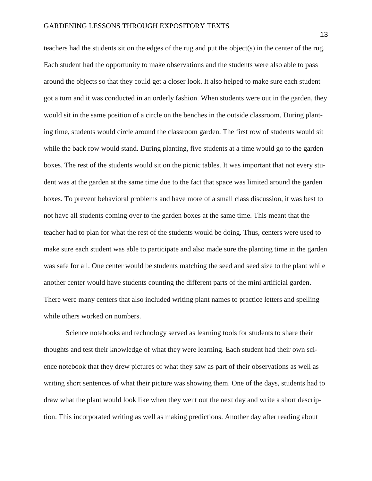teachers had the students sit on the edges of the rug and put the object(s) in the center of the rug. Each student had the opportunity to make observations and the students were also able to pass around the objects so that they could get a closer look. It also helped to make sure each student got a turn and it was conducted in an orderly fashion. When students were out in the garden, they would sit in the same position of a circle on the benches in the outside classroom. During planting time, students would circle around the classroom garden. The first row of students would sit while the back row would stand. During planting, five students at a time would go to the garden boxes. The rest of the students would sit on the picnic tables. It was important that not every student was at the garden at the same time due to the fact that space was limited around the garden boxes. To prevent behavioral problems and have more of a small class discussion, it was best to not have all students coming over to the garden boxes at the same time. This meant that the teacher had to plan for what the rest of the students would be doing. Thus, centers were used to make sure each student was able to participate and also made sure the planting time in the garden was safe for all. One center would be students matching the seed and seed size to the plant while another center would have students counting the different parts of the mini artificial garden. There were many centers that also included writing plant names to practice letters and spelling while others worked on numbers.

Science notebooks and technology served as learning tools for students to share their thoughts and test their knowledge of what they were learning. Each student had their own science notebook that they drew pictures of what they saw as part of their observations as well as writing short sentences of what their picture was showing them. One of the days, students had to draw what the plant would look like when they went out the next day and write a short description. This incorporated writing as well as making predictions. Another day after reading about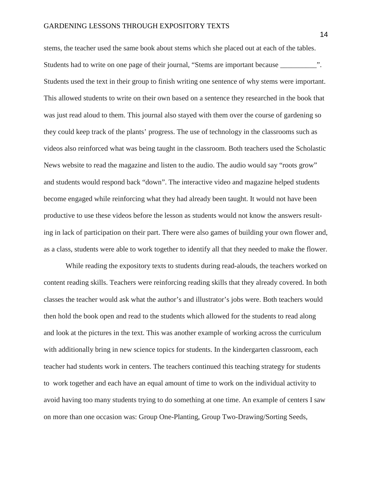stems, the teacher used the same book about stems which she placed out at each of the tables. Students had to write on one page of their journal, "Stems are important because \_\_\_\_\_\_\_\_\_\_\_\_". Students used the text in their group to finish writing one sentence of why stems were important. This allowed students to write on their own based on a sentence they researched in the book that was just read aloud to them. This journal also stayed with them over the course of gardening so they could keep track of the plants' progress. The use of technology in the classrooms such as videos also reinforced what was being taught in the classroom. Both teachers used the Scholastic News website to read the magazine and listen to the audio. The audio would say "roots grow" and students would respond back "down". The interactive video and magazine helped students become engaged while reinforcing what they had already been taught. It would not have been productive to use these videos before the lesson as students would not know the answers resulting in lack of participation on their part. There were also games of building your own flower and, as a class, students were able to work together to identify all that they needed to make the flower.

While reading the expository texts to students during read-alouds, the teachers worked on content reading skills. Teachers were reinforcing reading skills that they already covered. In both classes the teacher would ask what the author's and illustrator's jobs were. Both teachers would then hold the book open and read to the students which allowed for the students to read along and look at the pictures in the text. This was another example of working across the curriculum with additionally bring in new science topics for students. In the kindergarten classroom, each teacher had students work in centers. The teachers continued this teaching strategy for students to work together and each have an equal amount of time to work on the individual activity to avoid having too many students trying to do something at one time. An example of centers I saw on more than one occasion was: Group One-Planting, Group Two-Drawing/Sorting Seeds,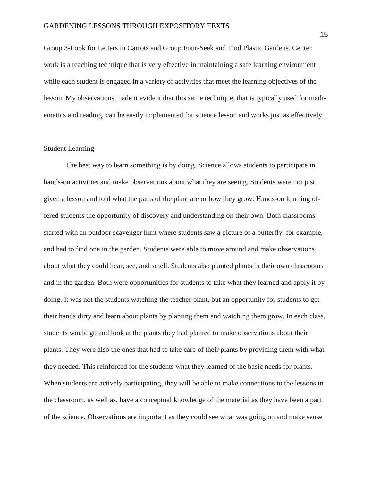Group 3-Look for Letters in Carrots and Group Four-Seek and Find Plastic Gardens. Center work is a teaching technique that is very effective in maintaining a safe learning environment while each student is engaged in a variety of activities that meet the learning objectives of the lesson. My observations made it evident that this same technique, that is typically used for mathematics and reading, can be easily implemented for science lesson and works just as effectively.

#### Student Learning

The best way to learn something is by doing. Science allows students to participate in hands-on activities and make observations about what they are seeing. Students were not just given a lesson and told what the parts of the plant are or how they grow. Hands-on learning offered students the opportunity of discovery and understanding on their own. Both classrooms started with an outdoor scavenger hunt where students saw a picture of a butterfly, for example, and had to find one in the garden. Students were able to move around and make observations about what they could hear, see, and smell. Students also planted plants in their own classrooms and in the garden. Both were opportunities for students to take what they learned and apply it by doing. It was not the students watching the teacher plant, but an opportunity for students to get their hands dirty and learn about plants by planting them and watching them grow. In each class, students would go and look at the plants they had planted to make observations about their plants. They were also the ones that had to take care of their plants by providing them with what they needed. This reinforced for the students what they learned of the basic needs for plants. When students are actively participating, they will be able to make connections to the lessons in the classroom, as well as, have a conceptual knowledge of the material as they have been a part of the science. Observations are important as they could see what was going on and make sense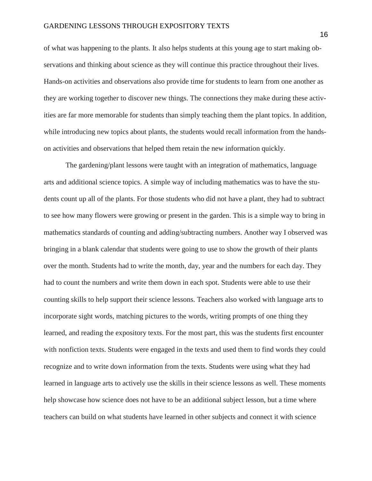of what was happening to the plants. It also helps students at this young age to start making observations and thinking about science as they will continue this practice throughout their lives. Hands-on activities and observations also provide time for students to learn from one another as they are working together to discover new things. The connections they make during these activities are far more memorable for students than simply teaching them the plant topics. In addition, while introducing new topics about plants, the students would recall information from the handson activities and observations that helped them retain the new information quickly.

The gardening/plant lessons were taught with an integration of mathematics, language arts and additional science topics. A simple way of including mathematics was to have the students count up all of the plants. For those students who did not have a plant, they had to subtract to see how many flowers were growing or present in the garden. This is a simple way to bring in mathematics standards of counting and adding/subtracting numbers. Another way I observed was bringing in a blank calendar that students were going to use to show the growth of their plants over the month. Students had to write the month, day, year and the numbers for each day. They had to count the numbers and write them down in each spot. Students were able to use their counting skills to help support their science lessons. Teachers also worked with language arts to incorporate sight words, matching pictures to the words, writing prompts of one thing they learned, and reading the expository texts. For the most part, this was the students first encounter with nonfiction texts. Students were engaged in the texts and used them to find words they could recognize and to write down information from the texts. Students were using what they had learned in language arts to actively use the skills in their science lessons as well. These moments help showcase how science does not have to be an additional subject lesson, but a time where teachers can build on what students have learned in other subjects and connect it with science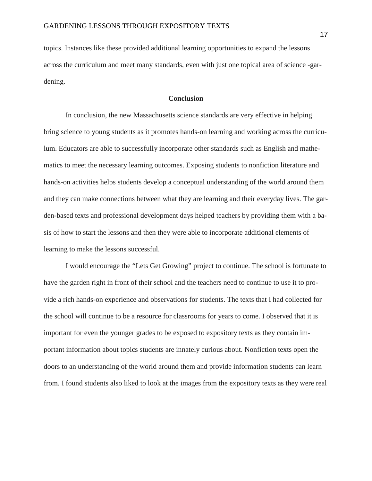topics. Instances like these provided additional learning opportunities to expand the lessons across the curriculum and meet many standards, even with just one topical area of science -gardening.

#### **Conclusion**

In conclusion, the new Massachusetts science standards are very effective in helping bring science to young students as it promotes hands-on learning and working across the curriculum. Educators are able to successfully incorporate other standards such as English and mathematics to meet the necessary learning outcomes. Exposing students to nonfiction literature and hands-on activities helps students develop a conceptual understanding of the world around them and they can make connections between what they are learning and their everyday lives. The garden-based texts and professional development days helped teachers by providing them with a basis of how to start the lessons and then they were able to incorporate additional elements of learning to make the lessons successful.

I would encourage the "Lets Get Growing" project to continue. The school is fortunate to have the garden right in front of their school and the teachers need to continue to use it to provide a rich hands-on experience and observations for students. The texts that I had collected for the school will continue to be a resource for classrooms for years to come. I observed that it is important for even the younger grades to be exposed to expository texts as they contain important information about topics students are innately curious about. Nonfiction texts open the doors to an understanding of the world around them and provide information students can learn from. I found students also liked to look at the images from the expository texts as they were real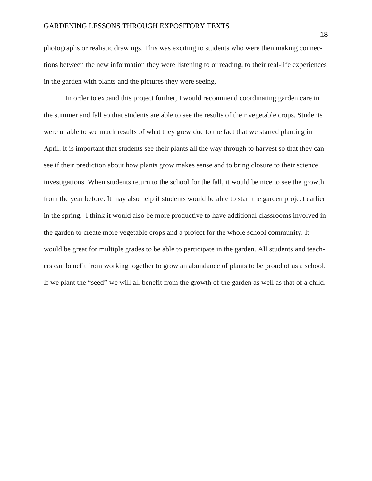photographs or realistic drawings. This was exciting to students who were then making connections between the new information they were listening to or reading, to their real-life experiences in the garden with plants and the pictures they were seeing.

In order to expand this project further, I would recommend coordinating garden care in the summer and fall so that students are able to see the results of their vegetable crops. Students were unable to see much results of what they grew due to the fact that we started planting in April. It is important that students see their plants all the way through to harvest so that they can see if their prediction about how plants grow makes sense and to bring closure to their science investigations. When students return to the school for the fall, it would be nice to see the growth from the year before. It may also help if students would be able to start the garden project earlier in the spring. I think it would also be more productive to have additional classrooms involved in the garden to create more vegetable crops and a project for the whole school community. It would be great for multiple grades to be able to participate in the garden. All students and teachers can benefit from working together to grow an abundance of plants to be proud of as a school. If we plant the "seed" we will all benefit from the growth of the garden as well as that of a child.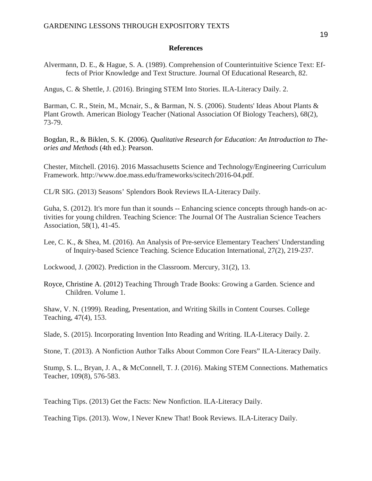#### **References**

Alvermann, D. E., & Hague, S. A. (1989). Comprehension of Counterintuitive Science Text: Effects of Prior Knowledge and Text Structure. Journal Of Educational Research, 82.

Angus, C. & Shettle, J. (2016). Bringing STEM Into Stories. ILA-Literacy Daily. 2.

Barman, C. R., Stein, M., Mcnair, S., & Barman, N. S. (2006). Students' Ideas About Plants & Plant Growth. American Biology Teacher (National Association Of Biology Teachers), 68(2), 73-79.

Bogdan, R., & Biklen, S. K. (2006). *Qualitative Research for Education: An Introduction to Theories and Methods* (4th ed.): Pearson.

Chester, Mitchell. (2016). 2016 Massachusetts Science and Technology/Engineering Curriculum Framework. http://www.doe.mass.edu/frameworks/scitech/2016-04.pdf.

CL/R SIG. (2013) Seasons' Splendors Book Reviews ILA-Literacy Daily.

Guha, S. (2012). It's more fun than it sounds -- Enhancing science concepts through hands-on activities for young children. Teaching Science: The Journal Of The Australian Science Teachers Association, 58(1), 41-45.

Lee, C. K., & Shea, M. (2016). An Analysis of Pre-service Elementary Teachers' Understanding of Inquiry-based Science Teaching. Science Education International, 27(2), 219-237.

Lockwood, J. (2002). Prediction in the Classroom. Mercury, 31(2), 13.

Royce, Christine A. (2012) Teaching Through Trade Books: Growing a Garden. Science and Children. Volume 1.

Shaw, V. N. (1999). Reading, Presentation, and Writing Skills in Content Courses. College Teaching, 47(4), 153.

Slade, S. (2015). Incorporating Invention Into Reading and Writing. ILA-Literacy Daily. 2.

Stone, T. (2013). A Nonfiction Author Talks About Common Core Fears" ILA-Literacy Daily.

Stump, S. L., Bryan, J. A., & McConnell, T. J. (2016). Making STEM Connections. Mathematics Teacher, 109(8), 576-583.

Teaching Tips. (2013) Get the Facts: New Nonfiction. ILA-Literacy Daily.

Teaching Tips. (2013). Wow, I Never Knew That! Book Reviews. ILA-Literacy Daily.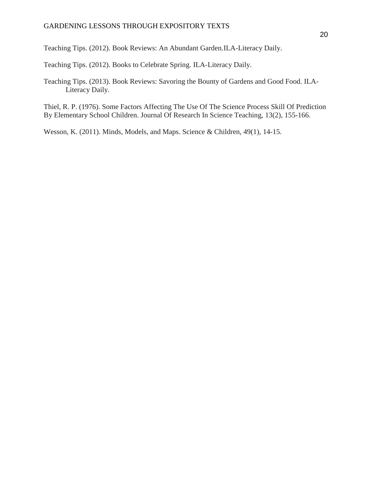Teaching Tips. (2012). Book Reviews: An Abundant Garden.ILA-Literacy Daily.

Teaching Tips. (2012). Books to Celebrate Spring. ILA-Literacy Daily.

Teaching Tips. (2013). Book Reviews: Savoring the Bounty of Gardens and Good Food. ILA-Literacy Daily.

Thiel, R. P. (1976). Some Factors Affecting The Use Of The Science Process Skill Of Prediction By Elementary School Children. Journal Of Research In Science Teaching, 13(2), 155-166.

Wesson, K. (2011). Minds, Models, and Maps. Science & Children, 49(1), 14-15.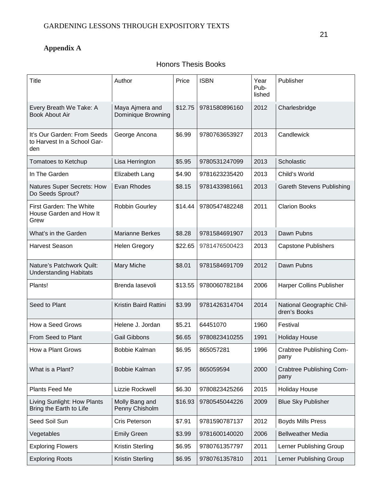## **Appendix A**

### Honors Thesis Books

| Title                                                             | Author                                | Price   | <b>ISBN</b>   | Year<br>Pub-<br>lished | Publisher                                 |
|-------------------------------------------------------------------|---------------------------------------|---------|---------------|------------------------|-------------------------------------------|
| Every Breath We Take: A<br><b>Book About Air</b>                  | Maya Ajmera and<br>Dominique Browning | \$12.75 | 9781580896160 | 2012                   | Charlesbridge                             |
| It's Our Garden: From Seeds<br>to Harvest In a School Gar-<br>den | George Ancona                         | \$6.99  | 9780763653927 | 2013                   | Candlewick                                |
| Tomatoes to Ketchup                                               | Lisa Herrington                       | \$5.95  | 9780531247099 | 2013                   | Scholastic                                |
| In The Garden                                                     | Elizabeth Lang                        | \$4.90  | 9781623235420 | 2013                   | Child's World                             |
| Natures Super Secrets: How<br>Do Seeds Sprout?                    | Evan Rhodes                           | \$8.15  | 9781433981661 | 2013                   | <b>Gareth Stevens Publishing</b>          |
| First Garden: The White<br>House Garden and How It<br>Grew        | Robbin Gourley                        | \$14.44 | 9780547482248 | 2011                   | <b>Clarion Books</b>                      |
| What's in the Garden                                              | <b>Marianne Berkes</b>                | \$8.28  | 9781584691907 | 2013                   | Dawn Pubns                                |
| <b>Harvest Season</b>                                             | <b>Helen Gregory</b>                  | \$22.65 | 9781476500423 | 2013                   | <b>Capstone Publishers</b>                |
| Nature's Patchwork Quilt:<br><b>Understanding Habitats</b>        | Mary Miche                            | \$8.01  | 9781584691709 | 2012                   | Dawn Pubns                                |
| Plants!                                                           | Brenda lasevoli                       | \$13.55 | 9780060782184 | 2006                   | Harper Collins Publisher                  |
| Seed to Plant                                                     | Kristin Baird Rattini                 | \$3.99  | 9781426314704 | 2014                   | National Geographic Chil-<br>dren's Books |
| How a Seed Grows                                                  | Helene J. Jordan                      | \$5.21  | 64451070      | 1960                   | Festival                                  |
| From Seed to Plant                                                | <b>Gail Gibbons</b>                   | \$6.65  | 9780823410255 | 1991                   | <b>Holiday House</b>                      |
| How a Plant Grows                                                 | Bobbie Kalman                         | \$6.95  | 865057281     | 1996                   | Crabtree Publishing Com-<br>pany          |
| What is a Plant?                                                  | Bobbie Kalman                         | \$7.95  | 865059594     | 2000                   | Crabtree Publishing Com-<br>pany          |
| Plants Feed Me                                                    | Lizzie Rockwell                       | \$6.30  | 9780823425266 | 2015                   | <b>Holiday House</b>                      |
| Living Sunlight: How Plants<br>Bring the Earth to Life            | Molly Bang and<br>Penny Chisholm      | \$16.93 | 9780545044226 | 2009                   | <b>Blue Sky Publisher</b>                 |
| Seed Soil Sun                                                     | Cris Peterson                         | \$7.91  | 9781590787137 | 2012                   | <b>Boyds Mills Press</b>                  |
| Vegetables                                                        | <b>Emily Green</b>                    | \$3.99  | 9781600140020 | 2006                   | <b>Bellweather Media</b>                  |
| <b>Exploring Flowers</b>                                          | <b>Kristin Sterling</b>               | \$6.95  | 9780761357797 | 2011                   | Lerner Publishing Group                   |
| <b>Exploring Roots</b>                                            | <b>Kristin Sterling</b>               | \$6.95  | 9780761357810 | 2011                   | Lerner Publishing Group                   |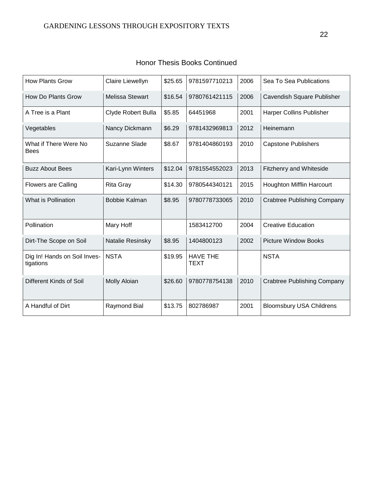| <b>How Plants Grow</b>                    | Claire Liewellyn       | \$25.65 | 9781597710213                  | 2006 | Sea To Sea Publications            |
|-------------------------------------------|------------------------|---------|--------------------------------|------|------------------------------------|
| How Do Plants Grow                        | <b>Melissa Stewart</b> | \$16.54 | 9780761421115                  | 2006 | Cavendish Square Publisher         |
| A Tree is a Plant                         | Clyde Robert Bulla     | \$5.85  | 64451968                       | 2001 | <b>Harper Collins Publisher</b>    |
| Vegetables                                | Nancy Dickmann         | \$6.29  | 9781432969813                  | 2012 | Heinemann                          |
| What if There Were No<br><b>Bees</b>      | Suzanne Slade          | \$8.67  | 9781404860193                  | 2010 | <b>Capstone Publishers</b>         |
| <b>Buzz About Bees</b>                    | Kari-Lynn Winters      | \$12.04 | 9781554552023                  | 2013 | <b>Fitzhenry and Whiteside</b>     |
| <b>Flowers are Calling</b>                | <b>Rita Gray</b>       | \$14.30 | 9780544340121                  | 2015 | Houghton Mifflin Harcourt          |
| What is Pollination                       | <b>Bobbie Kalman</b>   | \$8.95  | 9780778733065                  | 2010 | <b>Crabtree Publishing Company</b> |
| Pollination                               | Mary Hoff              |         | 1583412700                     | 2004 | <b>Creative Education</b>          |
| Dirt-The Scope on Soil                    | Natalie Resinsky       | \$8.95  | 1404800123                     | 2002 | <b>Picture Window Books</b>        |
| Dig In! Hands on Soil Inves-<br>tigations | <b>NSTA</b>            | \$19.95 | <b>HAVE THE</b><br><b>TEXT</b> |      | <b>NSTA</b>                        |
| Different Kinds of Soil                   | <b>Molly Aloian</b>    | \$26.60 | 9780778754138                  | 2010 | <b>Crabtree Publishing Company</b> |
| A Handful of Dirt                         | Raymond Bial           | \$13.75 | 802786987                      | 2001 | <b>Bloomsbury USA Childrens</b>    |

|  |  |  | <b>Honor Thesis Books Continued</b> |
|--|--|--|-------------------------------------|
|--|--|--|-------------------------------------|